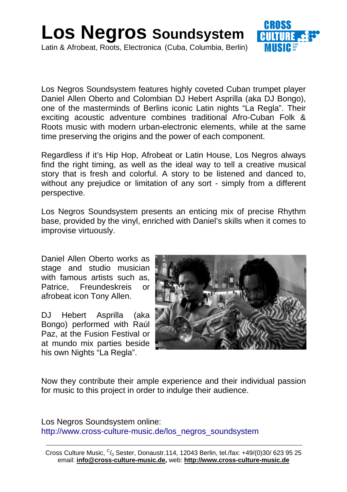

Los Negros Soundsystem features highly coveted Cuban trumpet player Daniel Allen Oberto and Colombian DJ Hebert Asprilla (aka DJ Bongo), one of the masterminds of Berlins iconic Latin nights "La Regla". Their exciting acoustic adventure combines traditional Afro-Cuban Folk & Roots music with modern urban-electronic elements, while at the same time preserving the origins and the power of each component.

Regardless if it's Hip Hop, Afrobeat or Latin House, Los Negros always find the right timing, as well as the ideal way to tell a creative musical story that is fresh and colorful. A story to be listened and danced to, without any prejudice or limitation of any sort - simply from a different perspective.

Los Negros Soundsystem presents an enticing mix of precise Rhythm base, provided by the vinyl, enriched with Daniel's skills when it comes to improvise virtuously.

Daniel Allen Oberto works as stage and studio musician with famous artists such as, Patrice, Freundeskreis or afrobeat icon Tony Allen.

DJ Hebert Asprilla (aka Bongo) performed with Raúl Paz, at the Fusion Festival or at mundo mix parties beside his own Nights "La Regla".



Now they contribute their ample experience and their individual passion for music to this project in order to indulge their audience.

Los Negros Soundsystem online: http://www.cross-culture-music.de/los\_negros\_soundsystem

Cross Culture Music,  ${}^{C}/_{0}$  Sester, Donaustr.114, 12043 Berlin, tel./fax: +49/(0)30/ 623 95 25 email: **info@cross-culture-music.de,** web: **http://www.cross-culture-music.de**